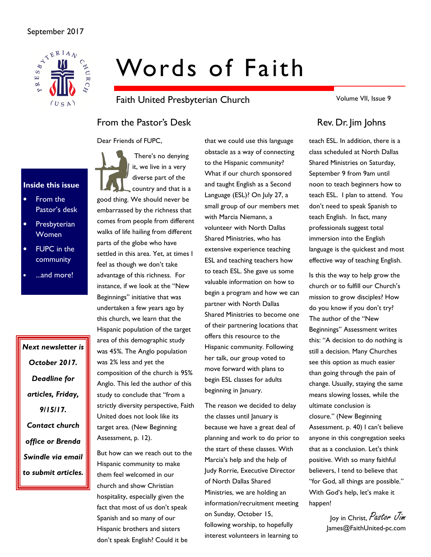

# Words of Faith

Faith United Presbyterian Church

From the Pastor's Desk Rev. Dr. Jim Johns

Dear Friends of FUPC,

### Inside this issue

- From the Pastor's desk
- **Presbyterian** Women
- **FUPC** in the community
- ...and more!

Next newsletter is October 2017. Deadline for articles, Friday, 9/15/17. Contact church office or Brenda Swindle via email to submit articles.

 There's no denying it, we live in a very diverse part of the country and that is a good thing. We should never be embarrassed by the richness that comes from people from different walks of life hailing from different parts of the globe who have settled in this area. Yet, at times I feel as though we don't take advantage of this richness. For instance, if we look at the "New Beginnings" initiative that was undertaken a few years ago by this church, we learn that the Hispanic population of the target area of this demographic study was 45%. The Anglo population was 2% less and yet the composition of the church is 95% Anglo. This led the author of this study to conclude that "from a strictly diversity perspective, Faith United does not look like its target area. (New Beginning Assessment, p. 12).

But how can we reach out to the Hispanic community to make them feel welcomed in our church and show Christian hospitality, especially given the fact that most of us don't speak Spanish and so many of our Hispanic brothers and sisters don't speak English? Could it be

that we could use this language obstacle as a way of connecting to the Hispanic community? What if our church sponsored and taught English as a Second Language (ESL)? On July 27, a small group of our members met with Marcia Niemann, a volunteer with North Dallas Shared Ministries, who has extensive experience teaching ESL and teaching teachers how to teach ESL. She gave us some valuable information on how to begin a program and how we can partner with North Dallas Shared Ministries to become one of their partnering locations that offers this resource to the Hispanic community. Following her talk, our group voted to move forward with plans to begin ESL classes for adults beginning in January.

The reason we decided to delay the classes until January is because we have a great deal of planning and work to do prior to the start of these classes. With Marcia's help and the help of Judy Rorrie, Executive Director of North Dallas Shared Ministries, we are holding an information/recruitment meeting on Sunday, October 15, following worship, to hopefully interest volunteers in learning to

Volume VII, Issue 9

teach ESL. In addition, there is a class scheduled at North Dallas Shared Ministries on Saturday, September 9 from 9am until noon to teach beginners how to teach ESL. I plan to attend. You don't need to speak Spanish to teach English. In fact, many professionals suggest total immersion into the English language is the quickest and most effective way of teaching English.

Is this the way to help grow the church or to fulfill our Church's mission to grow disciples? How do you know if you don't try? The author of the "New Beginnings" Assessment writes this: "A decision to do nothing is still a decision. Many Churches see this option as much easier than going through the pain of change. Usually, staying the same means slowing losses, while the ultimate conclusion is closure." (New Beginning Assessment. p. 40) I can't believe anyone in this congregation seeks that as a conclusion. Let's think positive. With so many faithful believers, I tend to believe that "for God, all things are possible." With God's help, let's make it happen!

> Joy in Christ, Pastor Jim James@FaithUnited-pc.com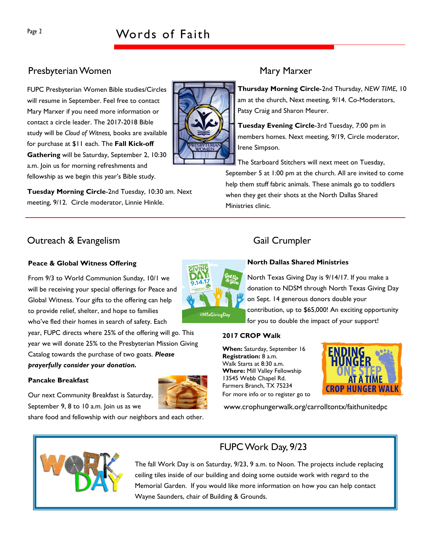### Presbyterian Women Mary Marxer

FUPC Presbyterian Women Bible studies/Circles will resume in September. Feel free to contact Mary Marxer if you need more information or contact a circle leader. The 2017-2018 Bible study will be Cloud of Witness, books are available for purchase at \$11 each. The Fall Kick-off Gathering will be Saturday, September 2, 10:30 a.m. Join us for morning refreshments and fellowship as we begin this year's Bible study.

Tuesday Morning Circle-2nd Tuesday, 10:30 am. Next meeting, 9/12. Circle moderator, Linnie Hinkle.

Thursday Morning Circle-2nd Thursday, NEW TIME, 10 am at the church, Next meeting, 9/14. Co-Moderators, Patsy Craig and Sharon Meurer.

Tuesday Evening Circle-3rd Tuesday, 7:00 pm in members homes. Next meeting, 9/19, Circle moderator, Irene Simpson.

The Starboard Stitchers will next meet on Tuesday, September 5 at 1:00 pm at the church. All are invited to come help them stuff fabric animals. These animals go to toddlers when they get their shots at the North Dallas Shared Ministries clinic.

### Outreach & Evangelism Gail Crumpler

#### Peace & Global Witness Offering

From 9/3 to World Communion Sunday, 10/1 we will be receiving your special offerings for Peace and Global Witness. Your gifts to the offering can help to provide relief, shelter, and hope to families who've fled their homes in search of safety. Each

year, FUPC directs where 25% of the offering will go. This year we will donate 25% to the Presbyterian Mission Giving Catalog towards the purchase of two goats. Please prayerfully consider your donation.

#### Pancake Breakfast

Our next Community Breakfast is Saturday, September 9, 8 to 10 a.m. Join us as we

share food and fellowship with our neighbors and each other.

#### North Dallas Shared Ministries

North Texas Giving Day is 9/14/17. If you make a donation to NDSM through North Texas Giving Day on Sept. 14 generous donors double your contribution, up to \$65,000! An exciting opportunity for you to double the impact of your support!

#### 2017 CROP Walk

When: Saturday, September 16 Registration: 8 a.m. Walk Starts at 8:30 a.m. Where: Mill Valley Fellowship 13545 Webb Chapel Rd. Farmers Branch, TX 75234 For more info or to register go to



www.crophungerwalk.org/carrolltontx/faithunitedpc



### FUPC Work Day, 9/23

The fall Work Day is on Saturday, 9/23, 9 a.m. to Noon. The projects include replacing ceiling tiles inside of our building and doing some outside work with regard to the Memorial Garden. If you would like more information on how you can help contact Wayne Saunders, chair of Building & Grounds.

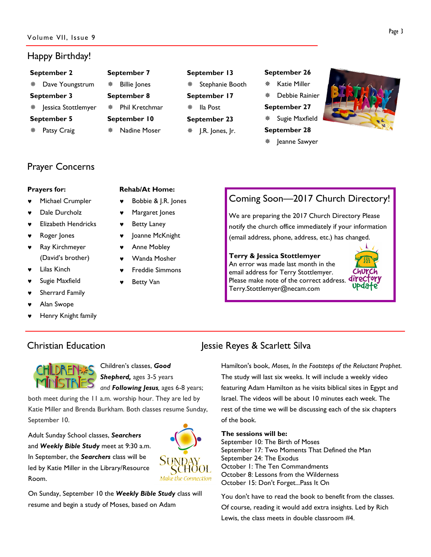#### Happy Birthday!

| September 2 | Sep                           |   |
|-------------|-------------------------------|---|
|             | Dave Youngstrum               | 齋 |
| September 3 | Sep                           |   |
|             | <b>**</b> Jessica Stottlemyer | 豢 |
| September 5 | Sep                           |   |
| ※ -         | Patsy Craig                   | 器 |

| September 7  |                     |  |  |  |  |  |  |  |
|--------------|---------------------|--|--|--|--|--|--|--|
| ※ -          | <b>Billie Jones</b> |  |  |  |  |  |  |  |
| September 8  |                     |  |  |  |  |  |  |  |
|              | * Phil Kretchmar    |  |  |  |  |  |  |  |
| September 10 |                     |  |  |  |  |  |  |  |
|              | ※ Nadine Moser      |  |  |  |  |  |  |  |

#### September 13

 Stephanie Booth September 17 Ila Post September 23 J.R. Jones, Jr.

#### September 26

- Katie Miller
- Debbie Rainier
- September 27
- Sugie Maxfield
- September 28
- Jeanne Sawyer



### Prayer Concerns

#### Prayers for:

- Michael Crumpler
- Dale Durcholz
- **Elizabeth Hendricks**
- Roger Jones
- ♥ Ray Kirchmeyer (David's brother)
- **Lilas Kinch**
- Sugie Maxfield
- Sherrard Family
- Alan Swope
- Henry Knight family

#### Rehab/At Home:

- Bobbie & J.R. Jones
- Margaret Jones
- **Betty Laney**
- Joanne McKnight
- **Anne Mobley**
- Wanda Mosher
- Freddie Simmons
- **Betty Van**

## Coming Soon—2017 Church Directory!

We are preparing the 2017 Church Directory Please notify the church office immediately if your information (email address, phone, address, etc.) has changed.

Terry & Jessica Stottlemyer An error was made last month in the email address for Terry Stottlemyer. Please make note of the correct address. **divect** Terry.Stottlemyer@necam.com





Children's classes, Good Shepherd, ages 3-5 years and Following Jesus, ages 6-8 years;

both meet during the 11 a.m. worship hour. They are led by Katie Miller and Brenda Burkham. Both classes resume Sunday, September 10.

Adult Sunday School classes, Searchers and Weekly Bible Study meet at 9:30 a.m. In September, the Searchers class will be led by Katie Miller in the Library/Resource Room.



On Sunday, September 10 the Weekly Bible Study class will resume and begin a study of Moses, based on Adam

### Christian Education **Jessie Reyes & Scarlett Silva**

Hamilton's book, Moses, In the Footsteps of the Reluctant Prophet. The study will last six weeks. It will include a weekly video featuring Adam Hamilton as he visits biblical sites in Egypt and Israel. The videos will be about 10 minutes each week. The rest of the time we will be discussing each of the six chapters of the book.

#### The sessions will be:

September 10: The Birth of Moses September 17: Two Moments That Defined the Man September 24: The Exodus October 1: The Ten Commandments October 8: Lessons from the Wilderness October 15: Don't Forget...Pass It On

You don't have to read the book to benefit from the classes. Of course, reading it would add extra insights. Led by Rich Lewis, the class meets in double classroom #4.